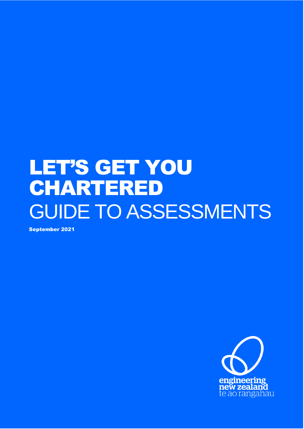# LET'S GET YOU CHARTERED GUIDE TO ASSESSMENTS

September 2021

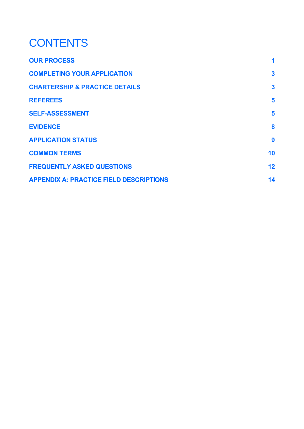### **CONTENTS**

| <b>OUR PROCESS</b>                             | 1            |
|------------------------------------------------|--------------|
| <b>COMPLETING YOUR APPLICATION</b>             | $\mathbf{3}$ |
| <b>CHARTERSHIP &amp; PRACTICE DETAILS</b>      | $\mathbf{3}$ |
| <b>REFEREES</b>                                | 5            |
| <b>SELF-ASSESSMENT</b>                         | 5            |
| <b>EVIDENCE</b>                                | 8            |
| <b>APPLICATION STATUS</b>                      | 9            |
| <b>COMMON TERMS</b>                            | 10           |
| <b>FREQUENTLY ASKED QUESTIONS</b>              | 12           |
| <b>APPENDIX A: PRACTICE FIELD DESCRIPTIONS</b> | 14           |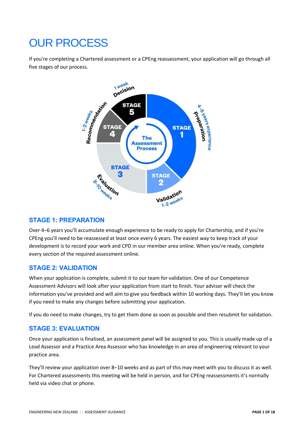### <span id="page-3-0"></span>OUR PROCESS

If you're completing a Chartered assessment or a CPEng reassessment, your application will go through all five stages of our process.



#### **STAGE 1: PREPARATION**

Over 4–6 years you'll accumulate enough experience to be ready to apply for Chartership, and if you're CPEng you'll need to be reassessed at least once every 6 years. The easiest way to keep track of your development is to record your work and CPD in our member area online. When you're ready, complete every section of the required assessment online.

#### **STAGE 2: VALIDATION**

When your application is complete, submit it to our team for validation. One of our Competence Assessment Advisors will look after your application from start to finish. Your advisor will check the information you've provided and will aim to give you feedback within 10 working days. They'll let you know if you need to make any changes before submitting your application.

If you do need to make changes, try to get them done as soon as possible and then resubmit for validation.

#### **STAGE 3: EVALUATION**

Once your application is finalised, an assessment panel will be assigned to you. This is usually made up of a Lead Assessor and a Practice Area Assessor who has knowledge in an area of engineering relevant to your practice area.

They'll review your application over 8–10 weeks and as part of this may meet with you to discuss it as well. For Chartered assessments this meeting will be held in person, and for CPEng reassessments it's normally held via video chat or phone.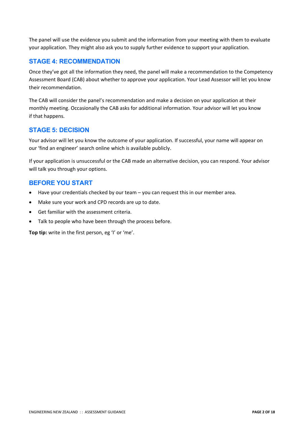The panel will use the evidence you submit and the information from your meeting with them to evaluate your application. They might also ask you to supply further evidence to support your application.

#### **STAGE 4: RECOMMENDATION**

Once they've got all the information they need, the panel will make a recommendation to the Competency Assessment Board (CAB) about whether to approve your application. Your Lead Assessor will let you know their recommendation.

The CAB will consider the panel's recommendation and make a decision on your application at their monthly meeting. Occasionally the CAB asks for additional information. Your advisor will let you know if that happens.

#### **STAGE 5: DECISION**

Your advisor will let you know the outcome of your application. If successful, your name will appear on our 'find an engineer' search online which is available publicly.

If your application is unsuccessful or the CAB made an alternative decision, you can respond. Your advisor will talk you through your options.

#### **BEFORE YOU START**

- Have your credentials checked by our team you can request this in our member area.
- Make sure your work and CPD records are up to date.
- Get familiar with the assessment criteria.
- Talk to people who have been through the process before.

**Top tip:** write in the first person, eg 'I' or 'me'.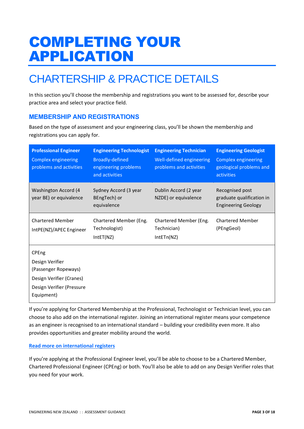# <span id="page-5-0"></span>COMPLETING YOUR APPLICATION

### <span id="page-5-1"></span>CHARTERSHIP & PRACTICE DETAILS

In this section you'll choose the membership and registrations you want to be assessed for, describe your practice area and select your practice field.

#### **MEMBERSHIP AND REGISTRATIONS**

Based on the type of assessment and your engineering class, you'll be shown the membership and registrations you can apply for.

| <b>Professional Engineer</b><br><b>Complex engineering</b><br>problems and activities                                   | <b>Engineering Technologist</b><br><b>Broadly-defined</b><br>engineering problems<br>and activities | <b>Engineering Technician</b><br>Well-defined engineering<br>problems and activities | <b>Engineering Geologist</b><br><b>Complex engineering</b><br>geological problems and<br>activities |
|-------------------------------------------------------------------------------------------------------------------------|-----------------------------------------------------------------------------------------------------|--------------------------------------------------------------------------------------|-----------------------------------------------------------------------------------------------------|
| <b>Washington Accord (4</b><br>year BE) or equivalence                                                                  | Sydney Accord (3 year<br>BEngTech) or<br>equivalence                                                | Dublin Accord (2 year<br>NZDE) or equivalence                                        | Recognised post<br>graduate qualification in<br><b>Engineering Geology</b>                          |
| <b>Chartered Member</b><br>IntPE(NZ)/APEC Engineer                                                                      | Chartered Member (Eng.<br>Technologist)<br>IntET(NZ)                                                | Chartered Member (Eng.<br>Technician)<br>IntETn(NZ)                                  | <b>Chartered Member</b><br>(PEngGeol)                                                               |
| CPEng<br>Design Verifier<br>(Passenger Ropeways)<br>Design Verifier (Cranes)<br>Design Verifier (Pressure<br>Equipment) |                                                                                                     |                                                                                      |                                                                                                     |

If you're applying for Chartered Membership at the Professional, Technologist or Technician level, you can choose to also add on the international register. Joining an international register means your competence as an engineer is recognised to an international standard – building your credibility even more. It also provides opportunities and greater mobility around the world.

#### **[Read more on international registers](https://www.engineeringnz.org/join-us/international-registers/)**

If you're applying at the Professional Engineer level, you'll be able to choose to be a Chartered Member, Chartered Professional Engineer (CPEng) or both. You'll also be able to add on any Design Verifier roles that you need for your work.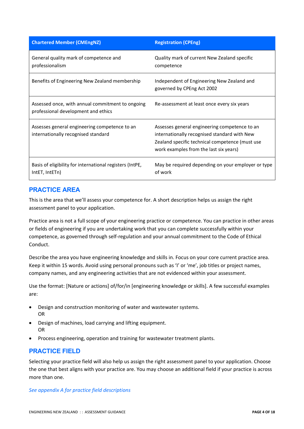| <b>Chartered Member (CMEngNZ)</b>                                                       | <b>Registration (CPEng)</b>                                                                                                                                                                |
|-----------------------------------------------------------------------------------------|--------------------------------------------------------------------------------------------------------------------------------------------------------------------------------------------|
| General quality mark of competence and<br>professionalism                               | Quality mark of current New Zealand specific<br>competence                                                                                                                                 |
| Benefits of Engineering New Zealand membership                                          | Independent of Engineering New Zealand and<br>governed by CPEng Act 2002                                                                                                                   |
| Assessed once, with annual commitment to ongoing<br>professional development and ethics | Re-assessment at least once every six years                                                                                                                                                |
| Assesses general engineering competence to an<br>internationally recognised standard    | Assesses general engineering competence to an<br>internationally recognised standard with New<br>Zealand specific technical competence (must use<br>work examples from the last six years) |
| Basis of eligibility for international registers (IntPE,<br>IntET, IntETn)              | May be required depending on your employer or type<br>of work                                                                                                                              |

#### **PRACTICE AREA**

This is the area that we'll assess your competence for. A short description helps us assign the right assessment panel to your application.

Practice area is not a full scope of your engineering practice or competence. You can practice in other areas or fields of engineering if you are undertaking work that you can complete successfully within your competence, as governed through self-regulation and your annual commitment to the Code of Ethical Conduct.

Describe the area you have engineering knowledge and skills in. Focus on your core current practice area. Keep it within 15 words. Avoid using personal pronouns such as 'I' or 'me', job titles or project names, company names, and any engineering activities that are not evidenced within your assessment.

Use the format: [Nature or actions] of/for/in [engineering knowledge or skills]. A few successful examples are:

- Design and construction monitoring of water and wastewater systems. OR
- Design of machines, load carrying and lifting equipment. OR
- Process engineering, operation and training for wastewater treatment plants.

#### **PRACTICE FIELD**

Selecting your practice field will also help us assign the right assessment panel to your application. Choose the one that best aligns with your practice are. You may choose an additional field if your practice is across more than one.

*See appendix A for practice field descriptions*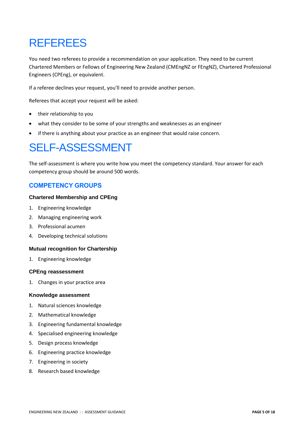### <span id="page-7-0"></span>REFEREES

You need two referees to provide a recommendation on your application. They need to be current Chartered Members or Fellows of Engineering New Zealand (CMEngNZ or FEngNZ), Chartered Professional Engineers (CPEng), or equivalent.

If a referee declines your request, you'll need to provide another person.

Referees that accept your request will be asked:

- their relationship to you
- what they consider to be some of your strengths and weaknesses as an engineer
- if there is anything about your practice as an engineer that would raise concern.

### <span id="page-7-1"></span>SELF-ASSESSMENT

The self-assessment is where you write how you meet the competency standard. Your answer for each competency group should be around 500 words.

#### **COMPETENCY GROUPS**

#### **Chartered Membership and CPEng**

- 1. Engineering knowledge
- 2. Managing engineering work
- 3. Professional acumen
- 4. Developing technical solutions

#### **Mutual recognition for Chartership**

1. Engineering knowledge

#### **CPEng reassessment**

1. Changes in your practice area

#### **Knowledge assessment**

- 1. Natural sciences knowledge
- 2. Mathematical knowledge
- 3. Engineering fundamental knowledge
- 4. Specialised engineering knowledge
- 5. Design process knowledge
- 6. Engineering practice knowledge
- 7. Engineering in society
- 8. Research based knowledge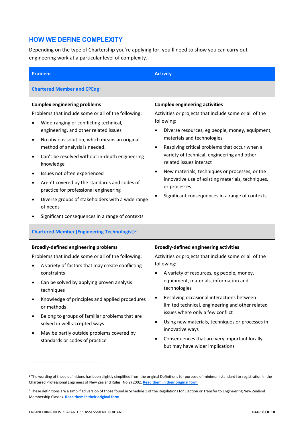#### **HOW WE DEFINE COMPLEXITY**

Depending on the type of Chartership you're applying for, you'll need to show you can carry out engineering work at a particular level of complexity.

| <b>Activity</b>                                                                                                                                                                                                                                                                                                                                                                                                                                                                                                                              |
|----------------------------------------------------------------------------------------------------------------------------------------------------------------------------------------------------------------------------------------------------------------------------------------------------------------------------------------------------------------------------------------------------------------------------------------------------------------------------------------------------------------------------------------------|
|                                                                                                                                                                                                                                                                                                                                                                                                                                                                                                                                              |
| <b>Complex engineering activities</b><br>Activities or projects that include some or all of the<br>following:<br>Diverse resources, eg people, money, equipment,<br>$\bullet$<br>materials and technologies<br>Resolving critical problems that occur when a<br>$\bullet$<br>variety of technical, engineering and other<br>related issues interact<br>New materials, techniques or processes, or the<br>$\bullet$<br>innovative use of existing materials, techniques,<br>or processes<br>Significant consequences in a range of contexts   |
|                                                                                                                                                                                                                                                                                                                                                                                                                                                                                                                                              |
| <b>Broadly-defined engineering activities</b><br>Activities or projects that include some or all of the<br>following:<br>A variety of resources, eg people, money,<br>$\bullet$<br>equipment, materials, information and<br>technologies<br>Resolving occasional interactions between<br>limited technical, engineering and other related<br>issues where only a few conflict<br>Using new materials, techniques or processes in<br>٠<br>innovative ways<br>Consequences that are very important locally,<br>but may have wider implications |
|                                                                                                                                                                                                                                                                                                                                                                                                                                                                                                                                              |

<sup>&</sup>lt;sup>2</sup> These definitions are a simplified version of those found in Schedule 1 of the Regulations for Election or Transfer to Engineering New Zealand Membership Classes. **[Read them in their original form](https://www.engineeringnz.org/engineer-tools/ethics-rules-standards/rules-and-regulations/)**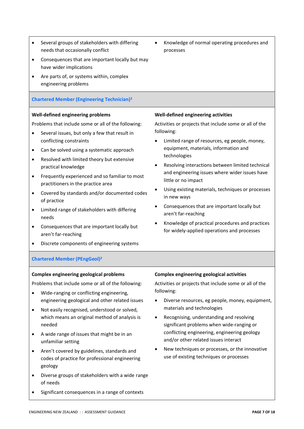- Several groups of stakeholders with differing needs that occasionally conflict
- Consequences that are important locally but may have wider implications
- Are parts of, or systems within, complex engineering problems

#### **Chartered Member (Engineering Technician)<sup>2</sup>**

#### **Well-defined engineering problems**

Problems that include some or all of the following:

- Several issues, but only a few that result in conflicting constraints
- Can be solved using a systematic approach
- Resolved with limited theory but extensive practical knowledge
- Frequently experienced and so familiar to most practitioners in the practice area
- Covered by standards and/or documented codes of practice
- Limited range of stakeholders with differing needs
- Consequences that are important locally but aren't far-reaching
- Discrete components of engineering systems

#### • Knowledge of normal operating procedures and processes

#### **Well-defined engineering activities**

Activities or projects that include some or all of the following:

- Limited range of resources, eg people, money, equipment, materials, information and technologies
- Resolving interactions between limited technical and engineering issues where wider issues have little or no impact
- Using existing materials, techniques or processes in new ways
- Consequences that are important locally but aren't far-reaching
- Knowledge of practical procedures and practices for widely-applied operations and processes

#### **Chartered Member (PEngGeol)<sup>2</sup>**

#### **Complex engineering geological problems**

Problems that include some or all of the following:

- Wide-ranging or conflicting engineering, engineering geological and other related issues
- Not easily recognised, understood or solved, which means an original method of analysis is needed
- A wide range of issues that might be in an unfamiliar setting
- Aren't covered by guidelines, standards and codes of practice for professional engineering geology
- Diverse groups of stakeholders with a wide range of needs
- Significant consequences in a range of contexts

#### **Complex engineering geological activities**

Activities or projects that include some or all of the following:

- Diverse resources, eg people, money, equipment, materials and technologies
- Recognising, understanding and resolving significant problems when wide-ranging or conflicting engineering, engineering geology and/or other related issues interact
- New techniques or processes, or the innovative use of existing techniques or processes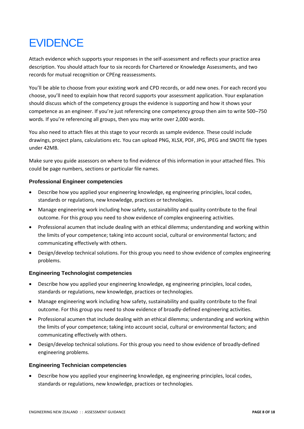### <span id="page-10-0"></span>**EVIDENCE**

Attach evidence which supports your responses in the self-assessment and reflects your practice area description. You should attach four to six records for Chartered or Knowledge Assessments, and two records for mutual recognition or CPEng reassessments.

You'll be able to choose from your existing work and CPD records, or add new ones. For each record you choose, you'll need to explain how that record supports your assessment application. Your explanation should discuss which of the competency groups the evidence is supporting and how it shows your competence as an engineer. If you're just referencing one competency group then aim to write 500–750 words. If you're referencing all groups, then you may write over 2,000 words.

You also need to attach files at this stage to your records as sample evidence. These could include drawings, project plans, calculations etc. You can upload PNG, XLSX, PDF, JPG, JPEG and SNOTE file types under 42MB.

Make sure you guide assessors on where to find evidence of this information in your attached files. This could be page numbers, sections or particular file names.

#### **Professional Engineer competencies**

- Describe how you applied your engineering knowledge, eg engineering principles, local codes, standards or regulations, new knowledge, practices or technologies.
- Manage engineering work including how safety, sustainability and quality contribute to the final outcome. For this group you need to show evidence of complex engineering activities.
- Professional acumen that include dealing with an ethical dilemma; understanding and working within the limits of your competence; taking into account social, cultural or environmental factors; and communicating effectively with others.
- Design/develop technical solutions. For this group you need to show evidence of complex engineering problems.

#### **Engineering Technologist competencies**

- Describe how you applied your engineering knowledge, eg engineering principles, local codes, standards or regulations, new knowledge, practices or technologies.
- Manage engineering work including how safety, sustainability and quality contribute to the final outcome. For this group you need to show evidence of broadly-defined engineering activities.
- Professional acumen that include dealing with an ethical dilemma; understanding and working within the limits of your competence; taking into account social, cultural or environmental factors; and communicating effectively with others.
- Design/develop technical solutions. For this group you need to show evidence of broadly-defined engineering problems.

#### **Engineering Technician competencies**

• Describe how you applied your engineering knowledge, eg engineering principles, local codes, standards or regulations, new knowledge, practices or technologies.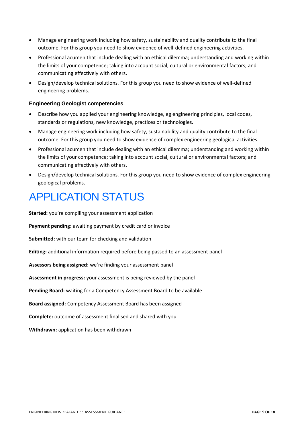- Manage engineering work including how safety, sustainability and quality contribute to the final outcome. For this group you need to show evidence of well-defined engineering activities.
- Professional acumen that include dealing with an ethical dilemma; understanding and working within the limits of your competence; taking into account social, cultural or environmental factors; and communicating effectively with others.
- Design/develop technical solutions. For this group you need to show evidence of well-defined engineering problems.

#### **Engineering Geologist competencies**

- Describe how you applied your engineering knowledge, eg engineering principles, local codes, standards or regulations, new knowledge, practices or technologies.
- Manage engineering work including how safety, sustainability and quality contribute to the final outcome. For this group you need to show evidence of complex engineering geological activities.
- Professional acumen that include dealing with an ethical dilemma; understanding and working within the limits of your competence; taking into account social, cultural or environmental factors; and communicating effectively with others.
- Design/develop technical solutions. For this group you need to show evidence of complex engineering geological problems.

### <span id="page-11-0"></span>APPLICATION STATUS

**Started:** you're compiling your assessment application

**Payment pending:** awaiting payment by credit card or invoice

**Submitted:** with our team for checking and validation

**Editing:** additional information required before being passed to an assessment panel

**Assessors being assigned:** we're finding your assessment panel

**Assessment in progress:** your assessment is being reviewed by the panel

**Pending Board:** waiting for a Competency Assessment Board to be available

**Board assigned:** Competency Assessment Board has been assigned

**Complete:** outcome of assessment finalised and shared with you

**Withdrawn:** application has been withdrawn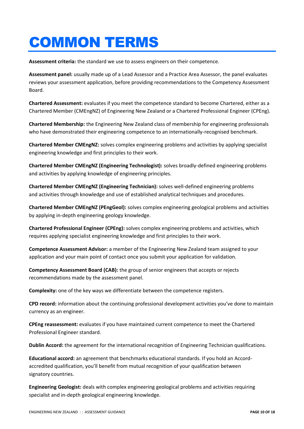# <span id="page-12-0"></span>COMMON TERMS

**Assessment criteria:** the standard we use to assess engineers on their competence.

**Assessment panel:** usually made up of a Lead Assessor and a Practice Area Assessor, the panel evaluates reviews your assessment application, before providing recommendations to the Competency Assessment Board.

**Chartered Assessment:** evaluates if you meet the competence standard to become Chartered, either as a Chartered Member (CMEngNZ) of Engineering New Zealand or a Chartered Professional Engineer (CPEng).

**Chartered Membership:** the Engineering New Zealand class of membership for engineering professionals who have demonstrated their engineering competence to an internationally-recognised benchmark.

**Chartered Member CMEngNZ:** solves complex engineering problems and activities by applying specialist engineering knowledge and first principles to their work.

**Chartered Member CMEngNZ (Engineering Technologist):** solves broadly-defined engineering problems and activities by applying knowledge of engineering principles.

**Chartered Member CMEngNZ (Engineering Technician):** solves well-defined engineering problems and activities through knowledge and use of established analytical techniques and procedures.

**Chartered Member CMEngNZ (PEngGeol):** solves complex engineering geological problems and activities by applying in-depth engineering geology knowledge.

**Chartered Professional Engineer (CPEng):** solves complex engineering problems and activities, which requires applying specialist engineering knowledge and first principles to their work.

**Competence Assessment Advisor:** a member of the Engineering New Zealand team assigned to your application and your main point of contact once you submit your application for validation.

**Competency Assessment Board (CAB):** the group of senior engineers that accepts or rejects recommendations made by the assessment panel.

**Complexity:** one of the key ways we differentiate between the competence registers.

**CPD record:** information about the continuing professional development activities you've done to maintain currency as an engineer.

**CPEng reassessment:** evaluates if you have maintained current competence to meet the Chartered Professional Engineer standard.

**Dublin Accord:** the agreement for the international recognition of Engineering Technician qualifications.

**Educational accord:** an agreement that benchmarks educational standards. If you hold an Accordaccredited qualification, you'll benefit from mutual recognition of your qualification between signatory countries.

**Engineering Geologist:** deals with complex engineering geological problems and activities requiring specialist and in-depth geological engineering knowledge.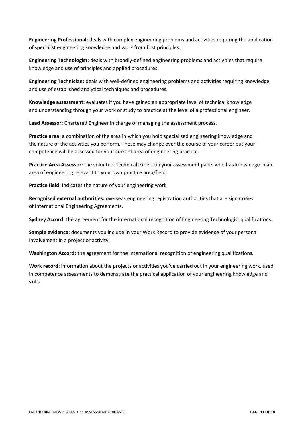**Engineering Professional:** deals with complex engineering problems and activities requiring the application of specialist engineering knowledge and work from first principles.

**Engineering Technologist:** deals with broadly-defined engineering problems and activities that require knowledge and use of principles and applied procedures.

**Engineering Technician:** deals with well-defined engineering problems and activities requiring knowledge and use of established analytical techniques and procedures.

**Knowledge assessment:** evaluates if you have gained an appropriate level of technical knowledge and understanding through your work or study to practice at the level of a professional engineer.

**Lead Assessor:** Chartered Engineer in charge of managing the assessment process.

**Practice area:** a combination of the area in which you hold specialised engineering knowledge and the nature of the activities you perform. These may change over the course of your career but your competence will be assessed for your current area of engineering practice.

**Practice Area Assessor:** the volunteer technical expert on your assessment panel who has knowledge in an area of engineering relevant to your own practice area/field.

**Practice field:** indicates the nature of your engineering work.

**Recognised external authorities:** overseas engineering registration authorities that are signatories of International Engineering Agreements.

**Sydney Accord:** the agreement for the international recognition of Engineering Technologist qualifications.

**Sample evidence:** documents you include in your Work Record to provide evidence of your personal involvement in a project or activity.

**Washington Accord:** the agreement for the international recognition of engineering qualifications.

**Work record:** information about the projects or activities you've carried out in your engineering work, used in competence assessments to demonstrate the practical application of your engineering knowledge and skills.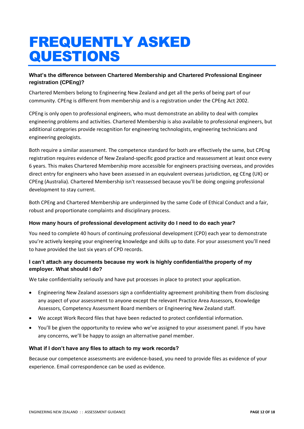# <span id="page-14-0"></span>FREQUENTLY ASKED QUESTIONS

#### **What's the difference between Chartered Membership and Chartered Professional Engineer registration (CPEng)?**

Chartered Members belong to Engineering New Zealand and get all the perks of being part of our community. CPEng is different from membership and is a registration under the CPEng Act 2002.

CPEng is only open to professional engineers, who must demonstrate an ability to deal with complex engineering problems and activities. Chartered Membership is also available to professional engineers, but additional categories provide recognition for engineering technologists, engineering technicians and engineering geologists.

Both require a similar assessment. The competence standard for both are effectively the same, but CPEng registration requires evidence of New Zealand-specific good practice and reassessment at least once every 6 years. This makes Chartered Membership more accessible for engineers practising overseas, and provides direct entry for engineers who have been assessed in an equivalent overseas jurisdiction, eg CEng (UK) or CPEng (Australia). Chartered Membership isn't reassessed because you'll be doing ongoing professional development to stay current.

Both CPEng and Chartered Membership are underpinned by the same Code of Ethical Conduct and a fair, robust and proportionate complaints and disciplinary process.

#### **How many hours of professional development activity do I need to do each year?**

You need to complete 40 hours of continuing professional development (CPD) each year to demonstrate you're actively keeping your engineering knowledge and skills up to date. For your assessment you'll need to have provided the last six years of CPD records.

#### **I can't attach any documents because my work is highly confidential/the property of my employer. What should I do?**

We take confidentiality seriously and have put processes in place to protect your application.

- Engineering New Zealand assessors sign a confidentiality agreement prohibiting them from disclosing any aspect of your assessment to anyone except the relevant Practice Area Assessors, Knowledge Assessors, Competency Assessment Board members or Engineering New Zealand staff.
- We accept Work Record files that have been redacted to protect confidential information.
- You'll be given the opportunity to review who we've assigned to your assessment panel. If you have any concerns, we'll be happy to assign an alternative panel member.

#### **What if I don't have any files to attach to my work records?**

Because our competence assessments are evidence-based, you need to provide files as evidence of your experience. Email correspondence can be used as evidence.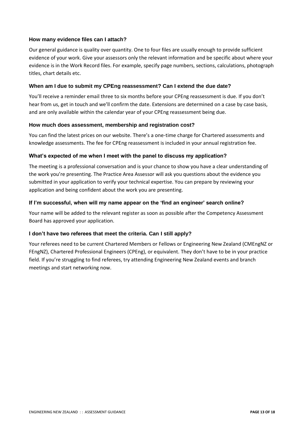#### **How many evidence files can I attach?**

Our general guidance is quality over quantity. One to four files are usually enough to provide sufficient evidence of your work. Give your assessors only the relevant information and be specific about where your evidence is in the Work Record files. For example, specify page numbers, sections, calculations, photograph titles, chart details etc.

#### **When am I due to submit my CPEng reassessment? Can I extend the due date?**

You'll receive a reminder email three to six months before your CPEng reassessment is due. If you don't hear from us, get in touch and we'll confirm the date. Extensions are determined on a case by case basis, and are only available within the calendar year of your CPEng reassessment being due.

#### **How much does assessment, membership and registration cost?**

You can find the latest prices on our website. There's a one-time charge for Chartered assessments and knowledge assessments. The fee for CPEng reassessment is included in your annual registration fee.

#### **What's expected of me when I meet with the panel to discuss my application?**

The meeting is a professional conversation and is your chance to show you have a clear understanding of the work you're presenting. The Practice Area Assessor will ask you questions about the evidence you submitted in your application to verify your technical expertise. You can prepare by reviewing your application and being confident about the work you are presenting.

#### **If I'm successful, when will my name appear on the 'find an engineer' search online?**

Your name will be added to the relevant register as soon as possible after the Competency Assessment Board has approved your application.

#### **I don't have two referees that meet the criteria. Can I still apply?**

Your referees need to be current Chartered Members or Fellows or Engineering New Zealand (CMEngNZ or FEngNZ), Chartered Professional Engineers (CPEng), or equivalent. They don't have to be in your practice field. If you're struggling to find referees, try attending Engineering New Zealand events and branch meetings and start networking now.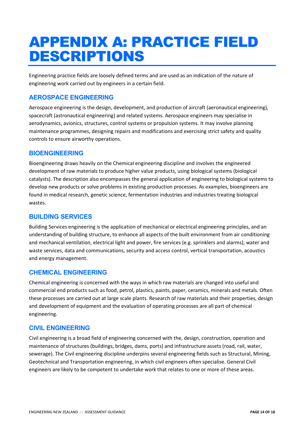# <span id="page-16-0"></span>APPENDIX A: PRACTICE FIELD DESCRIPTIONS

Engineering practice fields are loosely defined terms and are used as an indication of the nature of engineering work carried out by engineers in a certain field.

#### **AEROSPACE ENGINEERING**

Aerospace engineering is the design, development, and production of aircraft (aeronautical engineering), spacecraft (astronautical engineering) and related systems. Aerospace engineers may specialise in aerodynamics, avionics, structures, control systems or propulsion systems. It may involve planning maintenance programmes, designing repairs and modifications and exercising strict safety and quality controls to ensure airworthy operations.

#### **BIOENGINEERING**

Bioengineering draws heavily on the Chemical engineering discipline and involves the engineered development of raw materials to produce higher value products, using biological systems (biological catalysts). The description also encompasses the general application of engineering to biological systems to develop new products or solve problems in existing production processes. As examples, bioengineers are found in medical research, genetic science, fermentation industries and industries treating biological wastes.

#### **BUILDING SERVICES**

Building Services engineering is the application of mechanical or electrical engineering principles, and an understanding of building structure, to enhance all aspects of the built environment from air conditioning and mechanical ventilation, electrical light and power, fire services (e.g. sprinklers and alarms), water and waste services, data and communications, security and access control, vertical transportation, acoustics and energy management.

#### **CHEMICAL ENGINEERING**

Chemical engineering is concerned with the ways in which raw materials are changed into useful and commercial end products such as food, petrol, plastics, paints, paper, ceramics, minerals and metals. Often these processes are carried out at large scale plants. Research of raw materials and their properties, design and development of equipment and the evaluation of operating processes are all part of chemical engineering.

#### **CIVIL ENGINEERING**

Civil engineering is a broad field of engineering concerned with the, design, construction, operation and maintenance of structures (buildings, bridges, dams, ports) and infrastructure assets (road, rail, water, sewerage). The Civil engineering discipline underpins several engineering fields such as Structural, Mining, Geotechnical and Transportation engineering, in which civil engineers often specialise. General Civil engineers are likely to be competent to undertake work that relates to one or more of these areas.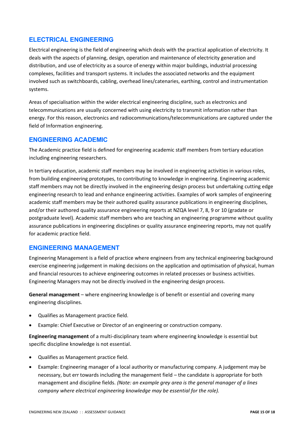#### **ELECTRICAL ENGINEERING**

Electrical engineering is the field of engineering which deals with the practical application of electricity. It deals with the aspects of planning, design, operation and maintenance of electricity generation and distribution, and use of electricity as a source of energy within major buildings, industrial processing complexes, facilities and transport systems. It includes the associated networks and the equipment involved such as switchboards, cabling, overhead lines/catenaries, earthing, control and instrumentation systems.

Areas of specialisation within the wider electrical engineering discipline, such as electronics and telecommunications are usually concerned with using electricity to transmit information rather than energy. For this reason, electronics and radiocommunications/telecommunications are captured under the field of Information engineering.

#### **ENGINEERING ACADEMIC**

The Academic practice field is defined for engineering academic staff members from tertiary education including engineering researchers.

In tertiary education, academic staff members may be involved in engineering activities in various roles, from building engineering prototypes, to contributing to knowledge in engineering. Engineering academic staff members may not be directly involved in the engineering design process but undertaking cutting edge engineering research to lead and enhance engineering activities. Examples of work samples of engineering academic staff members may be their authored quality assurance publications in engineering disciplines, and/or their authored quality assurance engineering reports at NZQA level 7, 8, 9 or 10 (gradate or postgraduate level). Academic staff members who are teaching an engineering programme without quality assurance publications in engineering disciplines or quality assurance engineering reports, may not qualify for academic practice field.

#### **ENGINEERING MANAGEMENT**

Engineering Management is a field of practice where engineers from any technical engineering background exercise engineering judgement in making decisions on the application and optimisation of physical, human and financial resources to achieve engineering outcomes in related processes or business activities. Engineering Managers may not be directly involved in the engineering design process.

**General management** – where engineering knowledge is of benefit or essential and covering many engineering disciplines.

- Qualifies as Management practice field.
- Example: Chief Executive or Director of an engineering or construction company.

**Engineering management** of a multi-disciplinary team where engineering knowledge is essential but specific discipline knowledge is not essential.

- Qualifies as Management practice field.
- Example: Engineering manager of a local authority or manufacturing company. A judgement may be necessary, but err towards including the management field – the candidate is appropriate for both management and discipline fields. *(Note: an example grey area is the general manager of a lines company where electrical engineering knowledge may be essential for the role).*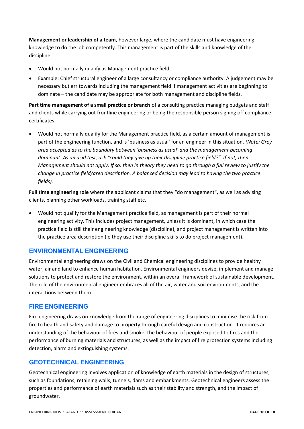**Management or leadership of a team**, however large, where the candidate must have engineering knowledge to do the job competently. This management is part of the skills and knowledge of the discipline.

- Would not normally qualify as Management practice field.
- Example: Chief structural engineer of a large consultancy or compliance authority. A judgement may be necessary but err towards including the management field if management activities are beginning to dominate – the candidate may be appropriate for both management and discipline fields.

**Part time management of a small practice or branch** of a consulting practice managing budgets and staff and clients while carrying out frontline engineering or being the responsible person signing off compliance certificates.

• Would not normally qualify for the Management practice field, as a certain amount of management is part of the engineering function, and is 'business as usual' for an engineer in this situation. *(Note: Grey area accepted as to the boundary between 'business as usual' and the management becoming dominant. As an acid test, ask "could they give up their discipline practice field?". If not, then Management should not apply. If so, then in theory they need to go through a full review to justify the change in practice field/area description. A balanced decision may lead to having the two practice fields).*

**Full time engineering role** where the applicant claims that they "do management", as well as advising clients, planning other workloads, training staff etc.

• Would not qualify for the Management practice field, as management is part of their normal engineering activity. This includes project management, unless it is dominant, in which case the practice field is still their engineering knowledge (discipline), and project management is written into the practice area description (ie they use their discipline skills to do project management).

#### **ENVIRONMENTAL ENGINEERING**

Environmental engineering draws on the Civil and Chemical engineering disciplines to provide healthy water, air and land to enhance human habitation. Environmental engineers devise, implement and manage solutions to protect and restore the environment, within an overall framework of sustainable development. The role of the environmental engineer embraces all of the air, water and soil environments, and the interactions between them.

#### **FIRE ENGINEERING**

Fire engineering draws on knowledge from the range of engineering disciplines to minimise the risk from fire to health and safety and damage to property through careful design and construction. It requires an understanding of the behaviour of fires and smoke, the behaviour of people exposed to fires and the performance of burning materials and structures, as well as the impact of fire protection systems including detection, alarm and extinguishing systems.

#### **GEOTECHNICAL ENGINEERING**

Geotechnical engineering involves application of knowledge of earth materials in the design of structures, such as foundations, retaining walls, tunnels, dams and embankments. Geotechnical engineers assess the properties and performance of earth materials such as their stability and strength, and the impact of groundwater.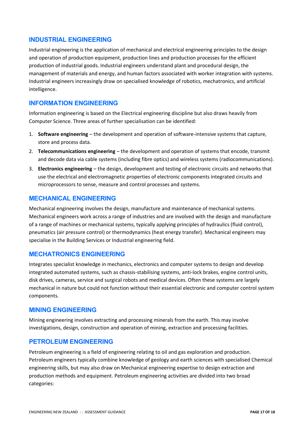#### **INDUSTRIAL ENGINEERING**

Industrial engineering is the application of mechanical and electrical engineering principles to the design and operation of production equipment, production lines and production processes for the efficient production of industrial goods. Industrial engineers understand plant and procedural design, the management of materials and energy, and human factors associated with worker integration with systems. Industrial engineers increasingly draw on specialised knowledge of robotics, mechatronics, and artificial intelligence.

#### **INFORMATION ENGINEERING**

Information engineering is based on the Electrical engineering discipline but also draws heavily from Computer Science. Three areas of further specialisation can be identified:

- 1. **Software engineering** the development and operation of software-intensive systems that capture, store and process data.
- 2. **Telecommunications engineering** the development and operation of systems that encode, transmit and decode data via cable systems (including fibre optics) and wireless systems (radiocommunications).
- 3. **Electronics engineering** the design, development and testing of electronic circuits and networks that use the electrical and electromagnetic properties of electronic components integrated circuits and microprocessors to sense, measure and control processes and systems.

#### **MECHANICAL ENGINEERING**

Mechanical engineering involves the design, manufacture and maintenance of mechanical systems. Mechanical engineers work across a range of industries and are involved with the design and manufacture of a range of machines or mechanical systems, typically applying principles of hydraulics (fluid control), pneumatics (air pressure control) or thermodynamics (heat energy transfer). Mechanical engineers may specialise in the Building Services or Industrial engineering field.

#### **MECHATRONICS ENGINEERING**

Integrates specialist knowledge in mechanics, electronics and computer systems to design and develop integrated automated systems, such as chassis-stabilising systems, anti-lock brakes, engine control units, disk drives, cameras, service and surgical robots and medical devices. Often these systems are largely mechanical in nature but could not function without their essential electronic and computer control system components.

#### **MINING ENGINEERING**

Mining engineering involves extracting and processing minerals from the earth. This may involve investigations, design, construction and operation of mining, extraction and processing facilities.

#### **PETROLEUM ENGINEERING**

Petroleum engineering is a field of engineering relating to oil and gas exploration and production. Petroleum engineers typically combine knowledge of geology and earth sciences with specialised Chemical engineering skills, but may also draw on Mechanical engineering expertise to design extraction and production methods and equipment. Petroleum engineering activities are divided into two broad categories: